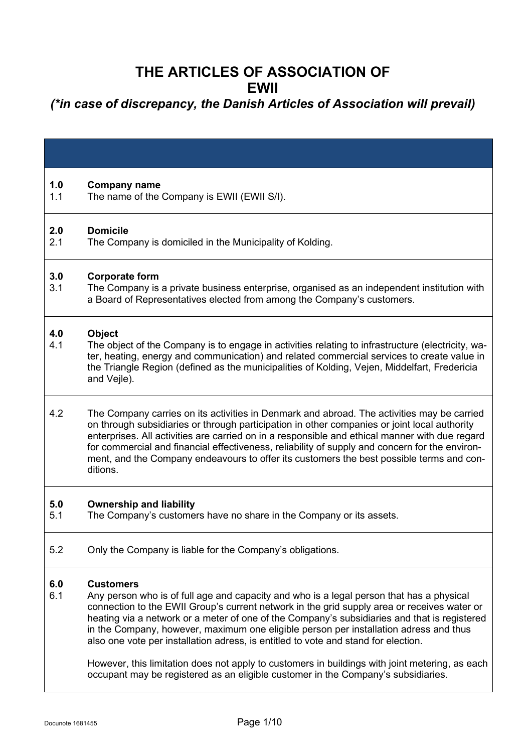#### **THE ARTICLES OF ASSOCIATION OF EWII**

#### *(\*in case of discrepancy, the Danish Articles of Association will prevail)*

| 1.0<br>1.1 | <b>Company name</b><br>The name of the Company is EWII (EWII S/I).                                                                                                                                                                                                                                                                                                                                                                                                                                                                                                                                                                                                                |
|------------|-----------------------------------------------------------------------------------------------------------------------------------------------------------------------------------------------------------------------------------------------------------------------------------------------------------------------------------------------------------------------------------------------------------------------------------------------------------------------------------------------------------------------------------------------------------------------------------------------------------------------------------------------------------------------------------|
| 2.0<br>2.1 | <b>Domicile</b><br>The Company is domiciled in the Municipality of Kolding.                                                                                                                                                                                                                                                                                                                                                                                                                                                                                                                                                                                                       |
| 3.0<br>3.1 | <b>Corporate form</b><br>The Company is a private business enterprise, organised as an independent institution with<br>a Board of Representatives elected from among the Company's customers.                                                                                                                                                                                                                                                                                                                                                                                                                                                                                     |
| 4.0<br>4.1 | <b>Object</b><br>The object of the Company is to engage in activities relating to infrastructure (electricity, wa-<br>ter, heating, energy and communication) and related commercial services to create value in<br>the Triangle Region (defined as the municipalities of Kolding, Vejen, Middelfart, Fredericia<br>and Vejle).                                                                                                                                                                                                                                                                                                                                                   |
| 4.2        | The Company carries on its activities in Denmark and abroad. The activities may be carried<br>on through subsidiaries or through participation in other companies or joint local authority<br>enterprises. All activities are carried on in a responsible and ethical manner with due regard<br>for commercial and financial effectiveness, reliability of supply and concern for the environ-<br>ment, and the Company endeavours to offer its customers the best possible terms and con-<br>ditions.                                                                                                                                                                            |
| 5.0<br>5.1 | <b>Ownership and liability</b><br>The Company's customers have no share in the Company or its assets.                                                                                                                                                                                                                                                                                                                                                                                                                                                                                                                                                                             |
| 5.2        | Only the Company is liable for the Company's obligations.                                                                                                                                                                                                                                                                                                                                                                                                                                                                                                                                                                                                                         |
| 6.0<br>6.1 | <b>Customers</b><br>Any person who is of full age and capacity and who is a legal person that has a physical<br>connection to the EWII Group's current network in the grid supply area or receives water or<br>heating via a network or a meter of one of the Company's subsidiaries and that is registered<br>in the Company, however, maximum one eligible person per installation adress and thus<br>also one vote per installation adress, is entitled to vote and stand for election.<br>However, this limitation does not apply to customers in buildings with joint metering, as each<br>occupant may be registered as an eligible customer in the Company's subsidiaries. |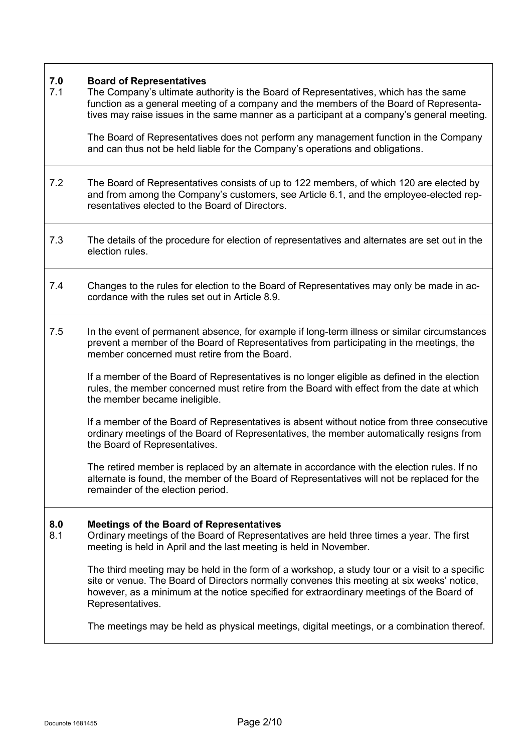## **7.0 Board of Representatives**

The Company's ultimate authority is the Board of Representatives, which has the same function as a general meeting of a company and the members of the Board of Representatives may raise issues in the same manner as a participant at a company's general meeting.

The Board of Representatives does not perform any management function in the Company and can thus not be held liable for the Company's operations and obligations.

- 7.2 The Board of Representatives consists of up to 122 members, of which 120 are elected by and from among the Company's customers, see Article 6.1, and the employee-elected representatives elected to the Board of Directors.
- 7.3 The details of the procedure for election of representatives and alternates are set out in the election rules.
- 7.4 Changes to the rules for election to the Board of Representatives may only be made in accordance with the rules set out in Article 8.9.
- 7.5 In the event of permanent absence, for example if long-term illness or similar circumstances prevent a member of the Board of Representatives from participating in the meetings, the member concerned must retire from the Board.

If a member of the Board of Representatives is no longer eligible as defined in the election rules, the member concerned must retire from the Board with effect from the date at which the member became ineligible.

If a member of the Board of Representatives is absent without notice from three consecutive ordinary meetings of the Board of Representatives, the member automatically resigns from the Board of Representatives.

The retired member is replaced by an alternate in accordance with the election rules. If no alternate is found, the member of the Board of Representatives will not be replaced for the remainder of the election period.

#### **8.0 Meetings of the Board of Representatives**

8.1 Ordinary meetings of the Board of Representatives are held three times a year. The first meeting is held in April and the last meeting is held in November.

The third meeting may be held in the form of a workshop, a study tour or a visit to a specific site or venue. The Board of Directors normally convenes this meeting at six weeks' notice, however, as a minimum at the notice specified for extraordinary meetings of the Board of Representatives.

The meetings may be held as physical meetings, digital meetings, or a combination thereof.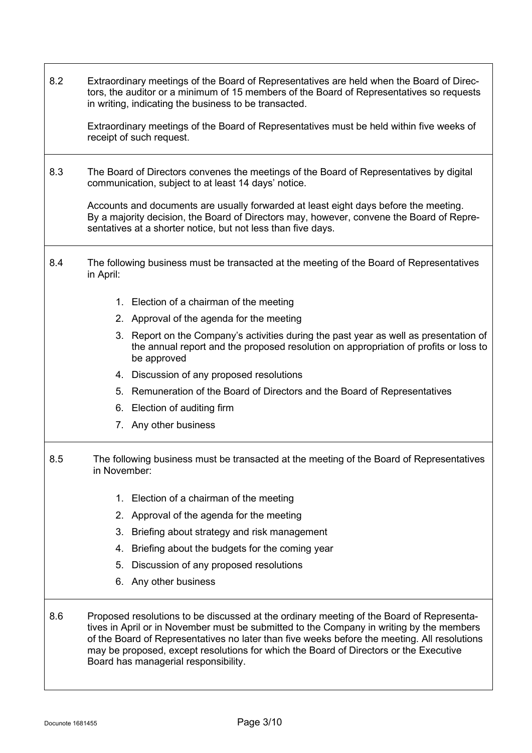| 8.2 | Extraordinary meetings of the Board of Representatives are held when the Board of Direc-<br>tors, the auditor or a minimum of 15 members of the Board of Representatives so requests<br>in writing, indicating the business to be transacted.<br>Extraordinary meetings of the Board of Representatives must be held within five weeks of<br>receipt of such request.                                                 |
|-----|-----------------------------------------------------------------------------------------------------------------------------------------------------------------------------------------------------------------------------------------------------------------------------------------------------------------------------------------------------------------------------------------------------------------------|
| 8.3 | The Board of Directors convenes the meetings of the Board of Representatives by digital<br>communication, subject to at least 14 days' notice.                                                                                                                                                                                                                                                                        |
|     | Accounts and documents are usually forwarded at least eight days before the meeting.<br>By a majority decision, the Board of Directors may, however, convene the Board of Repre-<br>sentatives at a shorter notice, but not less than five days.                                                                                                                                                                      |
| 8.4 | The following business must be transacted at the meeting of the Board of Representatives<br>in April:                                                                                                                                                                                                                                                                                                                 |
|     | 1. Election of a chairman of the meeting                                                                                                                                                                                                                                                                                                                                                                              |
|     | 2. Approval of the agenda for the meeting                                                                                                                                                                                                                                                                                                                                                                             |
|     | 3. Report on the Company's activities during the past year as well as presentation of<br>the annual report and the proposed resolution on appropriation of profits or loss to<br>be approved                                                                                                                                                                                                                          |
|     | 4. Discussion of any proposed resolutions                                                                                                                                                                                                                                                                                                                                                                             |
|     | 5. Remuneration of the Board of Directors and the Board of Representatives                                                                                                                                                                                                                                                                                                                                            |
|     | Election of auditing firm<br>6.                                                                                                                                                                                                                                                                                                                                                                                       |
|     | 7. Any other business                                                                                                                                                                                                                                                                                                                                                                                                 |
| 8.5 | The following business must be transacted at the meeting of the Board of Representatives<br>in November:                                                                                                                                                                                                                                                                                                              |
|     | 1. Election of a chairman of the meeting                                                                                                                                                                                                                                                                                                                                                                              |
|     | Approval of the agenda for the meeting<br>2.                                                                                                                                                                                                                                                                                                                                                                          |
|     | Briefing about strategy and risk management<br>3.                                                                                                                                                                                                                                                                                                                                                                     |
|     | Briefing about the budgets for the coming year<br>4.                                                                                                                                                                                                                                                                                                                                                                  |
|     | Discussion of any proposed resolutions<br>5.                                                                                                                                                                                                                                                                                                                                                                          |
|     | Any other business<br>6.                                                                                                                                                                                                                                                                                                                                                                                              |
| 8.6 | Proposed resolutions to be discussed at the ordinary meeting of the Board of Representa-<br>tives in April or in November must be submitted to the Company in writing by the members<br>of the Board of Representatives no later than five weeks before the meeting. All resolutions<br>may be proposed, except resolutions for which the Board of Directors or the Executive<br>Board has managerial responsibility. |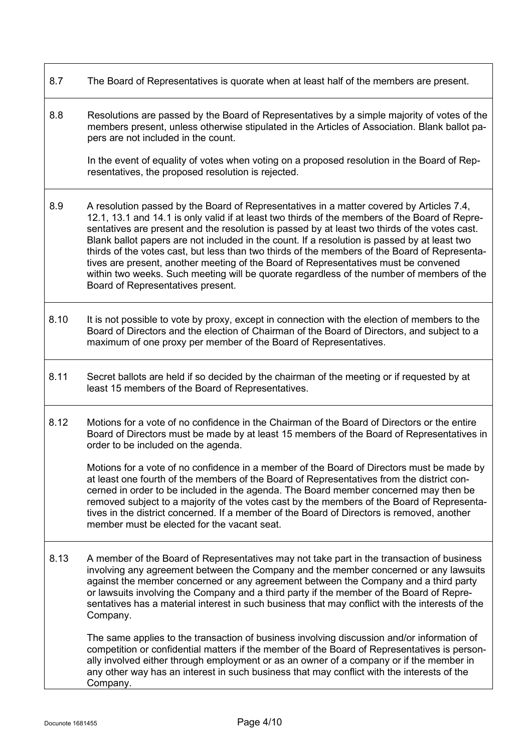- 8.7 The Board of Representatives is quorate when at least half of the members are present.
- 8.8 Resolutions are passed by the Board of Representatives by a simple majority of votes of the members present, unless otherwise stipulated in the Articles of Association. Blank ballot papers are not included in the count.

In the event of equality of votes when voting on a proposed resolution in the Board of Representatives, the proposed resolution is rejected.

- 8.9 A resolution passed by the Board of Representatives in a matter covered by Articles 7.4, 12.1, 13.1 and 14.1 is only valid if at least two thirds of the members of the Board of Representatives are present and the resolution is passed by at least two thirds of the votes cast. Blank ballot papers are not included in the count. If a resolution is passed by at least two thirds of the votes cast, but less than two thirds of the members of the Board of Representatives are present, another meeting of the Board of Representatives must be convened within two weeks. Such meeting will be quorate regardless of the number of members of the Board of Representatives present.
- 8.10 It is not possible to vote by proxy, except in connection with the election of members to the Board of Directors and the election of Chairman of the Board of Directors, and subject to a maximum of one proxy per member of the Board of Representatives.
- 8.11 Secret ballots are held if so decided by the chairman of the meeting or if requested by at least 15 members of the Board of Representatives.
- 8.12 Motions for a vote of no confidence in the Chairman of the Board of Directors or the entire Board of Directors must be made by at least 15 members of the Board of Representatives in order to be included on the agenda.

Motions for a vote of no confidence in a member of the Board of Directors must be made by at least one fourth of the members of the Board of Representatives from the district concerned in order to be included in the agenda. The Board member concerned may then be removed subject to a majority of the votes cast by the members of the Board of Representatives in the district concerned. If a member of the Board of Directors is removed, another member must be elected for the vacant seat.

8.13 A member of the Board of Representatives may not take part in the transaction of business involving any agreement between the Company and the member concerned or any lawsuits against the member concerned or any agreement between the Company and a third party or lawsuits involving the Company and a third party if the member of the Board of Representatives has a material interest in such business that may conflict with the interests of the Company.

The same applies to the transaction of business involving discussion and/or information of competition or confidential matters if the member of the Board of Representatives is personally involved either through employment or as an owner of a company or if the member in any other way has an interest in such business that may conflict with the interests of the Company.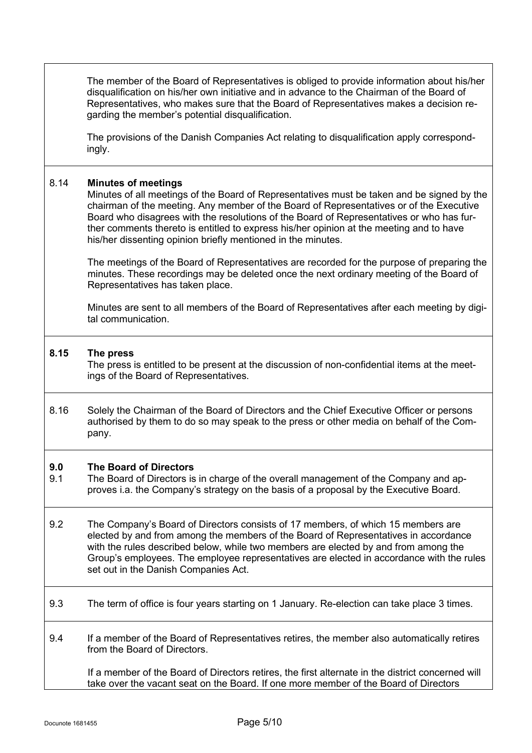|            | Representatives, who makes sure that the Board of Representatives makes a decision re-<br>garding the member's potential disqualification.                                                                                                                                                                                                                                                                                                                                 |
|------------|----------------------------------------------------------------------------------------------------------------------------------------------------------------------------------------------------------------------------------------------------------------------------------------------------------------------------------------------------------------------------------------------------------------------------------------------------------------------------|
|            | The provisions of the Danish Companies Act relating to disqualification apply correspond-<br>ingly.                                                                                                                                                                                                                                                                                                                                                                        |
| 8.14       | <b>Minutes of meetings</b><br>Minutes of all meetings of the Board of Representatives must be taken and be signed by the<br>chairman of the meeting. Any member of the Board of Representatives or of the Executive<br>Board who disagrees with the resolutions of the Board of Representatives or who has fur-<br>ther comments thereto is entitled to express his/her opinion at the meeting and to have<br>his/her dissenting opinion briefly mentioned in the minutes. |
|            | The meetings of the Board of Representatives are recorded for the purpose of preparing the<br>minutes. These recordings may be deleted once the next ordinary meeting of the Board of<br>Representatives has taken place.                                                                                                                                                                                                                                                  |
|            | Minutes are sent to all members of the Board of Representatives after each meeting by digi-<br>tal communication.                                                                                                                                                                                                                                                                                                                                                          |
| 8.15       | The press<br>The press is entitled to be present at the discussion of non-confidential items at the meet-<br>ings of the Board of Representatives.                                                                                                                                                                                                                                                                                                                         |
| 8.16       | Solely the Chairman of the Board of Directors and the Chief Executive Officer or persons<br>authorised by them to do so may speak to the press or other media on behalf of the Com-<br>pany.                                                                                                                                                                                                                                                                               |
| 9.0<br>9.1 | <b>The Board of Directors</b><br>The Board of Directors is in charge of the overall management of the Company and ap-<br>proves i.a. the Company's strategy on the basis of a proposal by the Executive Board.                                                                                                                                                                                                                                                             |
| 9.2        | The Company's Board of Directors consists of 17 members, of which 15 members are<br>elected by and from among the members of the Board of Representatives in accordance<br>with the rules described below, while two members are elected by and from among the<br>Group's employees. The employee representatives are elected in accordance with the rules<br>set out in the Danish Companies Act.                                                                         |
|            |                                                                                                                                                                                                                                                                                                                                                                                                                                                                            |

The member of the Board of Representatives is obliged to provide information about his/her disqualification on his/her own initiative and in advance to the Chairman of the Board of

- 9.3 The term of office is four years starting on 1 January. Re-election can take place 3 times.
- 9.4 If a member of the Board of Representatives retires, the member also automatically retires from the Board of Directors.

 If a member of the Board of Directors retires, the first alternate in the district concerned will take over the vacant seat on the Board. If one more member of the Board of Directors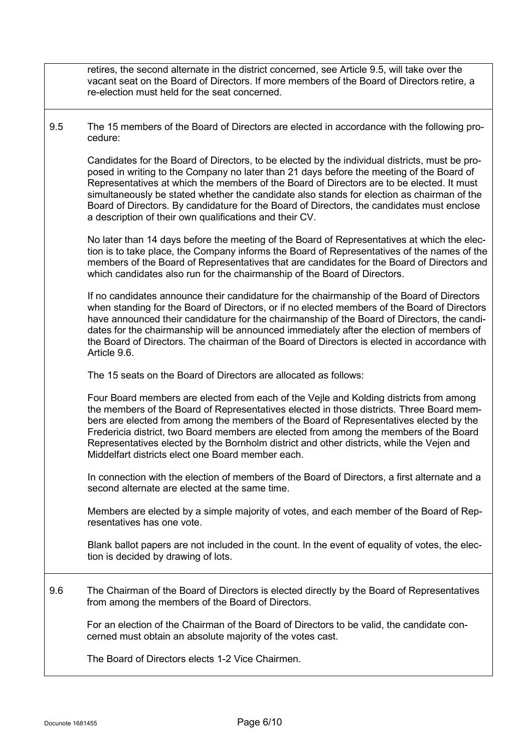retires, the second alternate in the district concerned, see Article 9.5, will take over the vacant seat on the Board of Directors. If more members of the Board of Directors retire, a re-election must held for the seat concerned.

9.5 The 15 members of the Board of Directors are elected in accordance with the following procedure:

Candidates for the Board of Directors, to be elected by the individual districts, must be proposed in writing to the Company no later than 21 days before the meeting of the Board of Representatives at which the members of the Board of Directors are to be elected. It must simultaneously be stated whether the candidate also stands for election as chairman of the Board of Directors. By candidature for the Board of Directors, the candidates must enclose a description of their own qualifications and their CV.

No later than 14 days before the meeting of the Board of Representatives at which the election is to take place, the Company informs the Board of Representatives of the names of the members of the Board of Representatives that are candidates for the Board of Directors and which candidates also run for the chairmanship of the Board of Directors.

If no candidates announce their candidature for the chairmanship of the Board of Directors when standing for the Board of Directors, or if no elected members of the Board of Directors have announced their candidature for the chairmanship of the Board of Directors, the candidates for the chairmanship will be announced immediately after the election of members of the Board of Directors. The chairman of the Board of Directors is elected in accordance with Article 9.6.

The 15 seats on the Board of Directors are allocated as follows:

Four Board members are elected from each of the Vejle and Kolding districts from among the members of the Board of Representatives elected in those districts. Three Board members are elected from among the members of the Board of Representatives elected by the Fredericia district, two Board members are elected from among the members of the Board Representatives elected by the Bornholm district and other districts, while the Vejen and Middelfart districts elect one Board member each.

In connection with the election of members of the Board of Directors, a first alternate and a second alternate are elected at the same time.

Members are elected by a simple majority of votes, and each member of the Board of Representatives has one vote.

Blank ballot papers are not included in the count. In the event of equality of votes, the election is decided by drawing of lots.

9.6 The Chairman of the Board of Directors is elected directly by the Board of Representatives from among the members of the Board of Directors.

For an election of the Chairman of the Board of Directors to be valid, the candidate concerned must obtain an absolute majority of the votes cast.

The Board of Directors elects 1-2 Vice Chairmen.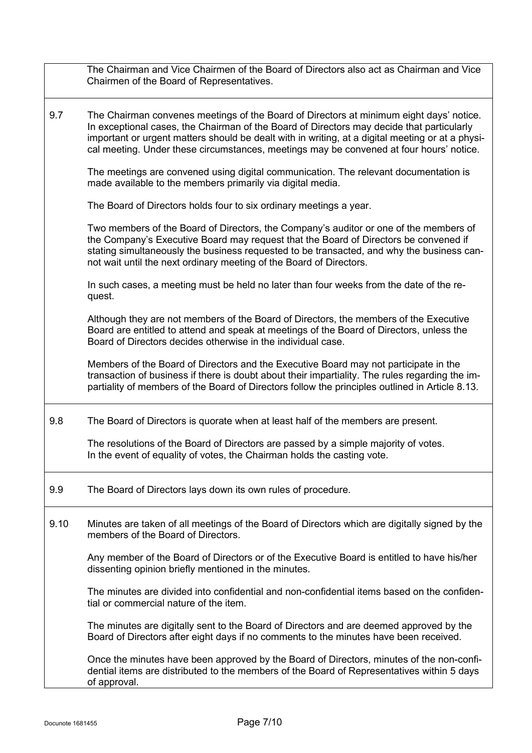|      | The Chairman and Vice Chairmen of the Board of Directors also act as Chairman and Vice<br>Chairmen of the Board of Representatives.                                                                                                                                                                                                                                                 |
|------|-------------------------------------------------------------------------------------------------------------------------------------------------------------------------------------------------------------------------------------------------------------------------------------------------------------------------------------------------------------------------------------|
| 9.7  | The Chairman convenes meetings of the Board of Directors at minimum eight days' notice.<br>In exceptional cases, the Chairman of the Board of Directors may decide that particularly<br>important or urgent matters should be dealt with in writing, at a digital meeting or at a physi-<br>cal meeting. Under these circumstances, meetings may be convened at four hours' notice. |
|      | The meetings are convened using digital communication. The relevant documentation is<br>made available to the members primarily via digital media.                                                                                                                                                                                                                                  |
|      | The Board of Directors holds four to six ordinary meetings a year.                                                                                                                                                                                                                                                                                                                  |
|      | Two members of the Board of Directors, the Company's auditor or one of the members of<br>the Company's Executive Board may request that the Board of Directors be convened if<br>stating simultaneously the business requested to be transacted, and why the business can-<br>not wait until the next ordinary meeting of the Board of Directors.                                   |
|      | In such cases, a meeting must be held no later than four weeks from the date of the re-<br>quest.                                                                                                                                                                                                                                                                                   |
|      | Although they are not members of the Board of Directors, the members of the Executive<br>Board are entitled to attend and speak at meetings of the Board of Directors, unless the<br>Board of Directors decides otherwise in the individual case.                                                                                                                                   |
|      | Members of the Board of Directors and the Executive Board may not participate in the<br>transaction of business if there is doubt about their impartiality. The rules regarding the im-<br>partiality of members of the Board of Directors follow the principles outlined in Article 8.13.                                                                                          |
| 9.8  | The Board of Directors is quorate when at least half of the members are present.                                                                                                                                                                                                                                                                                                    |
|      | The resolutions of the Board of Directors are passed by a simple majority of votes.<br>In the event of equality of votes, the Chairman holds the casting vote                                                                                                                                                                                                                       |
| 9.9  | The Board of Directors lays down its own rules of procedure.                                                                                                                                                                                                                                                                                                                        |
| 9.10 | Minutes are taken of all meetings of the Board of Directors which are digitally signed by the<br>members of the Board of Directors.                                                                                                                                                                                                                                                 |
|      | Any member of the Board of Directors or of the Executive Board is entitled to have his/her<br>dissenting opinion briefly mentioned in the minutes.                                                                                                                                                                                                                                  |
|      | The minutes are divided into confidential and non-confidential items based on the confiden-<br>tial or commercial nature of the item.                                                                                                                                                                                                                                               |
|      | The minutes are digitally sent to the Board of Directors and are deemed approved by the<br>Board of Directors after eight days if no comments to the minutes have been received.                                                                                                                                                                                                    |
|      | Once the minutes have been approved by the Board of Directors, minutes of the non-confi-<br>dential items are distributed to the members of the Board of Representatives within 5 days<br>of approval.                                                                                                                                                                              |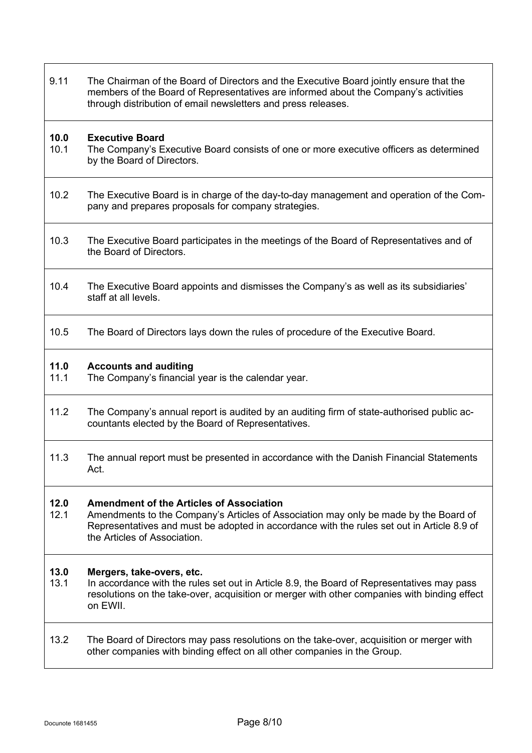| 9.11         | The Chairman of the Board of Directors and the Executive Board jointly ensure that the<br>members of the Board of Representatives are informed about the Company's activities<br>through distribution of email newsletters and press releases.                        |
|--------------|-----------------------------------------------------------------------------------------------------------------------------------------------------------------------------------------------------------------------------------------------------------------------|
| 10.0<br>10.1 | <b>Executive Board</b><br>The Company's Executive Board consists of one or more executive officers as determined<br>by the Board of Directors.                                                                                                                        |
| 10.2         | The Executive Board is in charge of the day-to-day management and operation of the Com-<br>pany and prepares proposals for company strategies.                                                                                                                        |
| 10.3         | The Executive Board participates in the meetings of the Board of Representatives and of<br>the Board of Directors.                                                                                                                                                    |
| 10.4         | The Executive Board appoints and dismisses the Company's as well as its subsidiaries'<br>staff at all levels.                                                                                                                                                         |
| 10.5         | The Board of Directors lays down the rules of procedure of the Executive Board.                                                                                                                                                                                       |
| 11.0<br>11.1 | <b>Accounts and auditing</b><br>The Company's financial year is the calendar year.                                                                                                                                                                                    |
| 11.2         | The Company's annual report is audited by an auditing firm of state-authorised public ac-<br>countants elected by the Board of Representatives.                                                                                                                       |
| 11.3         | The annual report must be presented in accordance with the Danish Financial Statements<br>Act.                                                                                                                                                                        |
| 12.0<br>12.1 | <b>Amendment of the Articles of Association</b><br>Amendments to the Company's Articles of Association may only be made by the Board of<br>Representatives and must be adopted in accordance with the rules set out in Article 8.9 of<br>the Articles of Association. |
| 13.0<br>13.1 | Mergers, take-overs, etc.<br>In accordance with the rules set out in Article 8.9, the Board of Representatives may pass<br>resolutions on the take-over, acquisition or merger with other companies with binding effect<br>on EWII.                                   |
| 13.2         | The Board of Directors may pass resolutions on the take-over, acquisition or merger with<br>other companies with binding effect on all other companies in the Group.                                                                                                  |

٦

 $\overline{\phantom{a}}$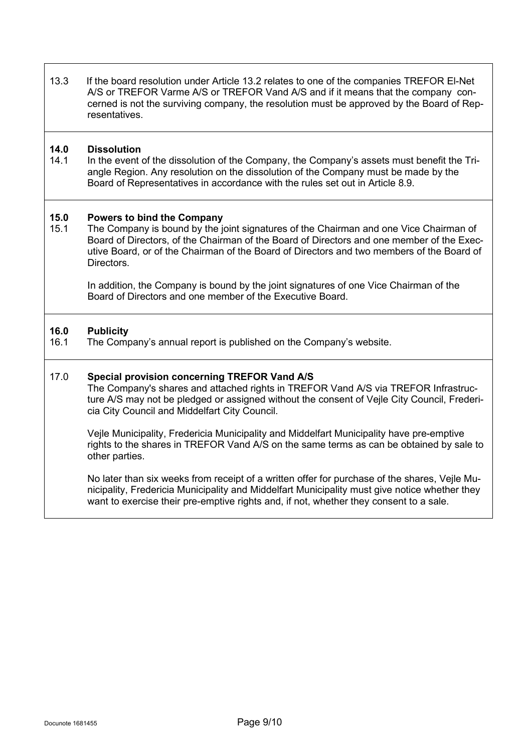13.3 If the board resolution under Article 13.2 relates to one of the companies TREFOR El-Net A/S or TREFOR Varme A/S or TREFOR Vand A/S and if it means that the company concerned is not the surviving company, the resolution must be approved by the Board of Representatives.

# **14.0 Dissolution**

In the event of the dissolution of the Company, the Company's assets must benefit the Triangle Region. Any resolution on the dissolution of the Company must be made by the Board of Representatives in accordance with the rules set out in Article 8.9.

## **15.0 Powers to bind the Company**

The Company is bound by the joint signatures of the Chairman and one Vice Chairman of Board of Directors, of the Chairman of the Board of Directors and one member of the Executive Board, or of the Chairman of the Board of Directors and two members of the Board of Directors.

In addition, the Company is bound by the joint signatures of one Vice Chairman of the Board of Directors and one member of the Executive Board.

## **16.0 Publicity**

The Company's annual report is published on the Company's website.

#### 17.0 **Special provision concerning TREFOR Vand A/S**

The Company's shares and attached rights in TREFOR Vand A/S via TREFOR Infrastructure A/S may not be pledged or assigned without the consent of Vejle City Council, Fredericia City Council and Middelfart City Council.

Vejle Municipality, Fredericia Municipality and Middelfart Municipality have pre-emptive rights to the shares in TREFOR Vand A/S on the same terms as can be obtained by sale to other parties.

No later than six weeks from receipt of a written offer for purchase of the shares, Vejle Municipality, Fredericia Municipality and Middelfart Municipality must give notice whether they want to exercise their pre-emptive rights and, if not, whether they consent to a sale.